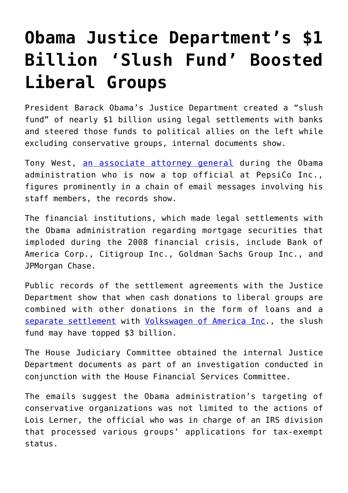## **[Obama Justice Department's \\$1](https://intellectualtakeout.org/2017/10/obama-justice-departments-1-billion-slush-fund-boosted-liberal-groups/) [Billion 'Slush Fund' Boosted](https://intellectualtakeout.org/2017/10/obama-justice-departments-1-billion-slush-fund-boosted-liberal-groups/) [Liberal Groups](https://intellectualtakeout.org/2017/10/obama-justice-departments-1-billion-slush-fund-boosted-liberal-groups/)**

President Barack Obama's Justice Department created a "slush fund" of nearly \$1 billion using legal settlements with banks and steered those funds to political allies on the left while excluding conservative groups, internal documents show.

Tony West, [an associate attorney general](https://en.wikipedia.org/wiki/Tony_West_%28attorney%29) during the Obama administration who is now a top official at PepsiCo Inc., figures prominently in a chain of email messages involving his staff members, the records show.

The financial institutions, which made legal settlements with the Obama administration regarding mortgage securities that imploded during the 2008 financial crisis, include Bank of America Corp., Citigroup Inc., Goldman Sachs Group Inc., and JPMorgan Chase.

Public records of the settlement agreements with the Justice Department show that when cash donations to liberal groups are combined with other donations in the form of loans and a [separate settlement](http://fortune.com/2016/06/28/volkswagen-settlement-buybacks/) with [Volkswagen of America Inc.](https://www.justice.gov/opa/pr/volkswagen-ag-agrees-plead-guilty-and-pay-43-billion-criminal-and-civil-penalties-six), the slush fund may have topped \$3 billion.

The House Judiciary Committee obtained the internal Justice Department documents as part of an investigation conducted in conjunction with the House Financial Services Committee.

The emails suggest the Obama administration's targeting of conservative organizations was not limited to the actions of Lois Lerner, the official who was in charge of an IRS division that processed various groups' applications for tax-exempt status.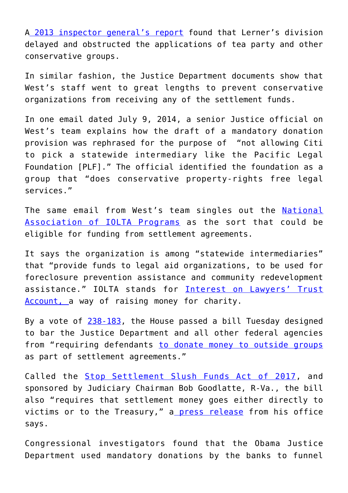A [2013 inspector general's report](https://www.treasury.gov/tigta/auditreports/2013reports/201310053fr.pdf) found that Lerner's division delayed and obstructed the applications of tea party and other conservative groups.

In similar fashion, the Justice Department documents show that West's staff went to great lengths to prevent conservative organizations from receiving any of the settlement funds.

In one email dated July 9, 2014, a senior Justice official on West's team explains how the draft of a mandatory donation provision was rephrased for the purpose of "not allowing Citi to pick a statewide intermediary like the Pacific Legal Foundation [PLF]." The official identified the foundation as a group that "does conservative property-rights free legal services."

The same email from West's team singles out the [National](https://www.google.com/url?q=http://www.iolta.org/&sa=D&ust=1508968623774000&usg=AFQjCNE1Mm8LaRU0LQMRTmOln_ZWAPulYQ) [Association of IOLTA Programs](https://www.google.com/url?q=http://www.iolta.org/&sa=D&ust=1508968623774000&usg=AFQjCNE1Mm8LaRU0LQMRTmOln_ZWAPulYQ) as the sort that could be eligible for funding from settlement agreements.

It says the organization is among "statewide intermediaries" that "provide funds to legal aid organizations, to be used for foreclosure prevention assistance and community redevelopment assistance." IOLTA stands for [Interest on Lawyers' Trust](https://www.google.com/url?sa=t&rct=j&q=&esrc=s&source=web&cd=2&cad=rja&uact=8&ved=0ahUKEwjk9-uZ2ozXAhXDOiYKHX7SDCoQFggqMAE&url=https%3A%2F%2Fen.wikipedia.org%2Fwiki%2FInterest_on_Lawyer_Trust_Accounts&usg=AOvVaw0ll-oddTieSHX6LY1gxVHq) [Account, a](https://www.google.com/url?sa=t&rct=j&q=&esrc=s&source=web&cd=2&cad=rja&uact=8&ved=0ahUKEwjk9-uZ2ozXAhXDOiYKHX7SDCoQFggqMAE&url=https%3A%2F%2Fen.wikipedia.org%2Fwiki%2FInterest_on_Lawyer_Trust_Accounts&usg=AOvVaw0ll-oddTieSHX6LY1gxVHq) way of raising money for charity.

By a vote of  $238-183$ , the House passed a bill Tuesday designed to bar the Justice Department and all other federal agencies from "requiring defendants [to donate money to outside groups](https://goodlatte.house.gov/news/documentsingle.aspx?DocumentID=1018) as part of settlement agreements."

Called the **Stop Settlement Slush Funds Act of 2017**, and sponsored by Judiciary Chairman Bob Goodlatte, R-Va., the bill also "requires that settlement money goes either directly to victims or to the Treasury," a [press release](https://goodlatte.house.gov/news/documentsingle.aspx?DocumentID=1018) from his office says.

Congressional investigators found that the Obama Justice Department used mandatory donations by the banks to funnel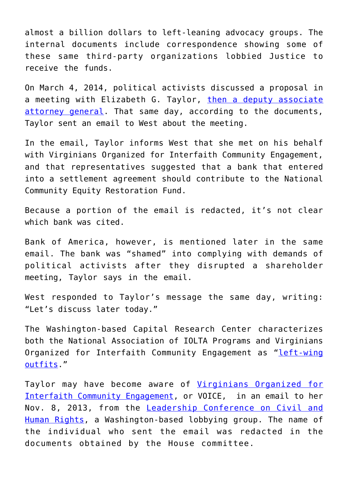almost a billion dollars to left-leaning advocacy groups. The internal documents include correspondence showing some of these same third-party organizations lobbied Justice to receive the funds.

On March 4, 2014, political activists discussed a proposal in a meeting with Elizabeth G. Taylor, [then a deputy associate](http://www.healthlaw.org/about/staff/221-elizabeth-taylor) [attorney general.](http://www.healthlaw.org/about/staff/221-elizabeth-taylor) That same day, according to the documents, Taylor sent an email to West about the meeting.

In the email, Taylor informs West that she met on his behalf with Virginians Organized for Interfaith Community Engagement, and that representatives suggested that a bank that entered into a settlement agreement should contribute to the National Community Equity Restoration Fund.

Because a portion of the email is redacted, it's not clear which bank was cited

Bank of America, however, is mentioned later in the same email. The bank was "shamed" into complying with demands of political activists after they disrupted a shareholder meeting, Taylor says in the email.

West responded to Taylor's message the same day, writing: "Let's discuss later today."

The Washington-based Capital Research Center characterizes both the National Association of IOLTA Programs and Virginians Organized for Interfaith Community Engagement as "[left-wing](https://capitalresearch.org/article/obama-justice-departments-liberal-slush-fund-exposed/) [outfits](https://capitalresearch.org/article/obama-justice-departments-liberal-slush-fund-exposed/)."

Taylor may have become aware of [Virginians Organized for](http://www.voice-iaf.org/about-voice) [Interfaith Community Engagement](http://www.voice-iaf.org/about-voice), or VOICE, in an email to her Nov. 8, 2013, from the [Leadership Conference on Civil and](https://civilrights.org/about-us/coalition-members-leadership-conference-civil-human-rights/) [Human Rights](https://civilrights.org/about-us/coalition-members-leadership-conference-civil-human-rights/), a Washington-based lobbying group. The name of the individual who sent the email was redacted in the documents obtained by the House committee.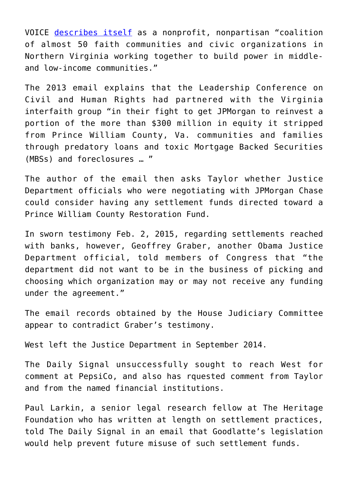VOICE [describes itself](http://www.voice-iaf.org/about-voice) as a nonprofit, nonpartisan "coalition of almost 50 faith communities and civic organizations in Northern Virginia working together to build power in middleand low-income communities."

The 2013 email explains that the Leadership Conference on Civil and Human Rights had partnered with the Virginia interfaith group "in their fight to get JPMorgan to reinvest a portion of the more than \$300 million in equity it stripped from Prince William County, Va. communities and families through predatory loans and toxic Mortgage Backed Securities (MBSs) and foreclosures … "

The author of the email then asks Taylor whether Justice Department officials who were negotiating with JPMorgan Chase could consider having any settlement funds directed toward a Prince William County Restoration Fund.

In sworn testimony Feb. 2, 2015, regarding settlements reached with banks, however, Geoffrey Graber, another Obama Justice Department official, told members of Congress that "the department did not want to be in the business of picking and choosing which organization may or may not receive any funding under the agreement."

The email records obtained by the House Judiciary Committee appear to contradict Graber's testimony.

West left the Justice Department in September 2014.

The Daily Signal unsuccessfully sought to reach West for comment at PepsiCo, and also has rquested comment from Taylor and from the named financial institutions.

Paul Larkin, a senior legal research fellow at The Heritage Foundation who has written at length on settlement practices, told The Daily Signal in an email that Goodlatte's legislation would help prevent future misuse of such settlement funds.